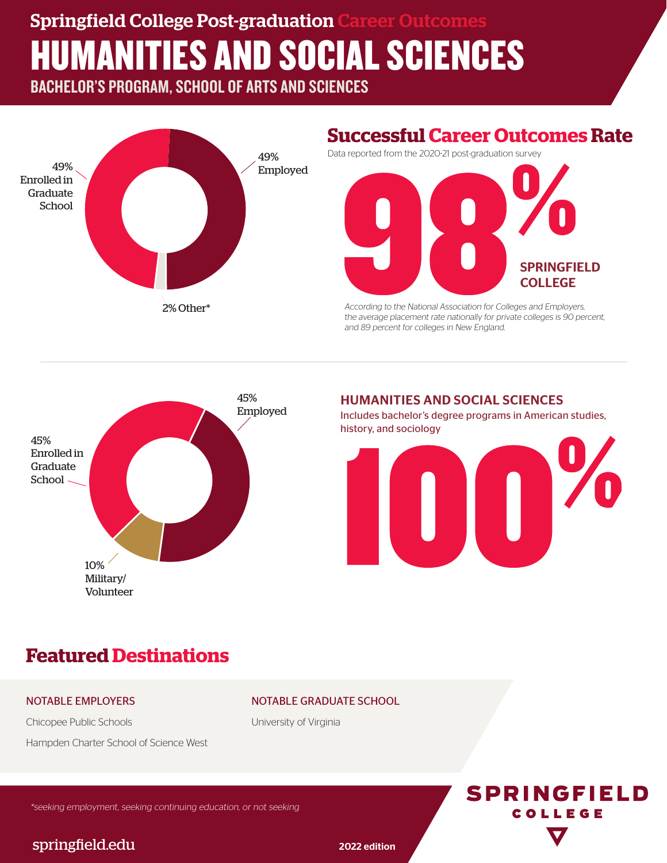# Springfield College Post-graduation Career Outcomes HUMANITIES AND SOCIAL SCIENCES

BACHELOR'S PROGRAM, SCHOOL OF ARTS AND SCIENCES



## **Successful Career Outcomes Rate**



According to the National Association for Colleges and Employers, the average placement rate nationally for private colleges is 90 percent, and 89 percent for colleges in New England.



HUMANITIES AND SOCIAL SCIENCES

Includes bachelor's degree programs in American studies, history, and sociology



# **Featured Destinations**

#### NOTABLE EMPLOYERS

Chicopee Public Schools

Hampden Charter School of Science West

NOTABLE GRADUATE SCHOOL

University of Virginia

**SPRINGFIELD** COLLEGE

\*seeking employment, seeking continuing education, or not seeking

### springfield.edu 2022 edition